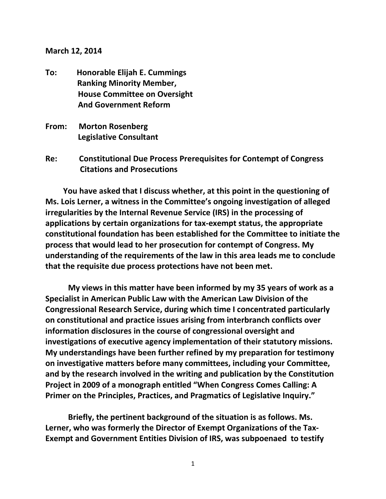## **March 12, 2014**

- **To: Honorable Elijah E. Cummings Ranking Minority Member, House Committee on Oversight And Government Reform**
- **From: Morton Rosenberg Legislative Consultant**
- **Re: Constitutional Due Process Prerequisites for Contempt of Congress Citations and Prosecutions**

 **You have asked that I discuss whether, at this point in the questioning of Ms. Lois Lerner, a witness in the Committee's ongoing investigation of alleged irregularities by the Internal Revenue Service (IRS) in the processing of applications by certain organizations for tax-exempt status, the appropriate constitutional foundation has been established for the Committee to initiate the process that would lead to her prosecution for contempt of Congress. My understanding of the requirements of the law in this area leads me to conclude that the requisite due process protections have not been met.** 

**My views in this matter have been informed by my 35 years of work as a Specialist in American Public Law with the American Law Division of the Congressional Research Service, during which time I concentrated particularly on constitutional and practice issues arising from interbranch conflicts over information disclosures in the course of congressional oversight and investigations of executive agency implementation of their statutory missions. My understandings have been further refined by my preparation for testimony on investigative matters before many committees, including your Committee, and by the research involved in the writing and publication by the Constitution Project in 2009 of a monograph entitled "When Congress Comes Calling: A Primer on the Principles, Practices, and Pragmatics of Legislative Inquiry."**

**Briefly, the pertinent background of the situation is as follows. Ms. Lerner, who was formerly the Director of Exempt Organizations of the Tax-Exempt and Government Entities Division of IRS, was subpoenaed to testify**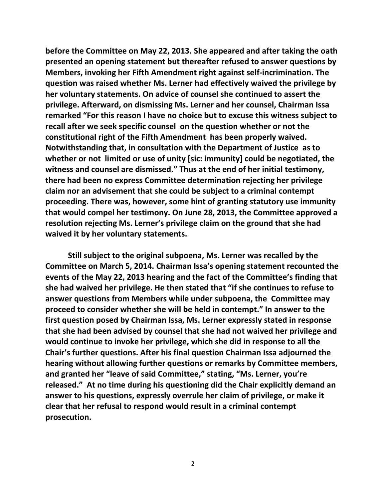**before the Committee on May 22, 2013. She appeared and after taking the oath presented an opening statement but thereafter refused to answer questions by Members, invoking her Fifth Amendment right against self-incrimination. The question was raised whether Ms. Lerner had effectively waived the privilege by her voluntary statements. On advice of counsel she continued to assert the privilege. Afterward, on dismissing Ms. Lerner and her counsel, Chairman Issa remarked "For this reason I have no choice but to excuse this witness subject to recall after we seek specific counsel on the question whether or not the constitutional right of the Fifth Amendment has been properly waived. Notwithstanding that, in consultation with the Department of Justice as to whether or not limited or use of unity [sic: immunity] could be negotiated, the witness and counsel are dismissed." Thus at the end of her initial testimony, there had been no express Committee determination rejecting her privilege claim nor an advisement that she could be subject to a criminal contempt proceeding. There was, however, some hint of granting statutory use immunity that would compel her testimony. On June 28, 2013, the Committee approved a resolution rejecting Ms. Lerner's privilege claim on the ground that she had waived it by her voluntary statements.**

**Still subject to the original subpoena, Ms. Lerner was recalled by the Committee on March 5, 2014. Chairman Issa's opening statement recounted the events of the May 22, 2013 hearing and the fact of the Committee's finding that she had waived her privilege. He then stated that "if she continues to refuse to answer questions from Members while under subpoena, the Committee may proceed to consider whether she will be held in contempt." In answer to the first question posed by Chairman Issa, Ms. Lerner expressly stated in response that she had been advised by counsel that she had not waived her privilege and would continue to invoke her privilege, which she did in response to all the Chair's further questions. After his final question Chairman Issa adjourned the hearing without allowing further questions or remarks by Committee members, and granted her "leave of said Committee," stating, "Ms. Lerner, you're released." At no time during his questioning did the Chair explicitly demand an answer to his questions, expressly overrule her claim of privilege, or make it clear that her refusal to respond would result in a criminal contempt prosecution.**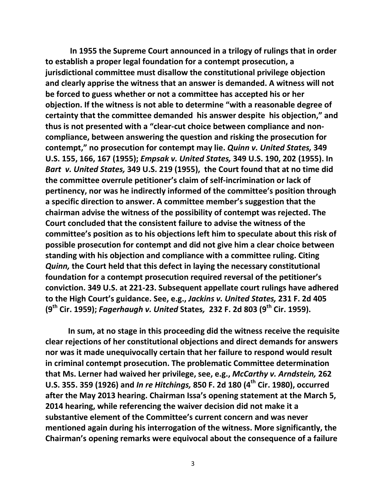**In 1955 the Supreme Court announced in a trilogy of rulings that in order to establish a proper legal foundation for a contempt prosecution, a jurisdictional committee must disallow the constitutional privilege objection and clearly apprise the witness that an answer is demanded. A witness will not be forced to guess whether or not a committee has accepted his or her objection. If the witness is not able to determine "with a reasonable degree of certainty that the committee demanded his answer despite his objection," and thus is not presented with a "clear-cut choice between compliance and noncompliance, between answering the question and risking the prosecution for contempt," no prosecution for contempt may lie.** *Quinn v. United States,* **349 U.S. 155, 166, 167 (1955);** *Empsak v. United States,* **349 U.S. 190, 202 (1955). In**  *Bart v. United States,* **349 U.S. 219 (1955), the Court found that at no time did the committee overrule petitioner's claim of self-incrimination or lack of pertinency, nor was he indirectly informed of the committee's position through a specific direction to answer. A committee member's suggestion that the chairman advise the witness of the possibility of contempt was rejected. The Court concluded that the consistent failure to advise the witness of the committee's position as to his objections left him to speculate about this risk of possible prosecution for contempt and did not give him a clear choice between standing with his objection and compliance with a committee ruling. Citing**  *Quinn,* **the Court held that this defect in laying the necessary constitutional foundation for a contempt prosecution required reversal of the petitioner's conviction. 349 U.S. at 221-23. Subsequent appellate court rulings have adhered to the High Court's guidance. See, e.g.,** *Jackins v. United States,* **231 F. 2d 405 (9th Cir. 1959);** *Fagerhaugh v. United* **States***,* **232 F. 2d 803 (9th Cir. 1959).**

**In sum, at no stage in this proceeding did the witness receive the requisite clear rejections of her constitutional objections and direct demands for answers nor was it made unequivocally certain that her failure to respond would result in criminal contempt prosecution. The problematic Committee determination that Ms. Lerner had waived her privilege, see, e.g.,** *McCarthy v. Arndstein,* **262 U.S. 355. 359 (1926) and** *In re Hitchings,* **850 F. 2d 180 (4th Cir. 1980), occurred after the May 2013 hearing. Chairman Issa's opening statement at the March 5, 2014 hearing, while referencing the waiver decision did not make it a substantive element of the Committee's current concern and was never mentioned again during his interrogation of the witness. More significantly, the Chairman's opening remarks were equivocal about the consequence of a failure**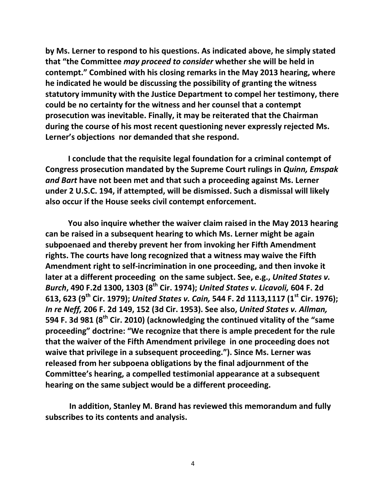**by Ms. Lerner to respond to his questions. As indicated above, he simply stated that "the Committee** *may proceed to consider* **whether she will be held in contempt." Combined with his closing remarks in the May 2013 hearing, where he indicated he would be discussing the possibility of granting the witness statutory immunity with the Justice Department to compel her testimony, there could be no certainty for the witness and her counsel that a contempt prosecution was inevitable. Finally, it may be reiterated that the Chairman during the course of his most recent questioning never expressly rejected Ms. Lerner's objections nor demanded that she respond.**

**I conclude that the requisite legal foundation for a criminal contempt of Congress prosecution mandated by the Supreme Court rulings in** *Quinn, Emspak and Bart* **have not been met and that such a proceeding against Ms. Lerner under 2 U.S.C. 194, if attempted, will be dismissed. Such a dismissal will likely also occur if the House seeks civil contempt enforcement.**

**You also inquire whether the waiver claim raised in the May 2013 hearing can be raised in a subsequent hearing to which Ms. Lerner might be again subpoenaed and thereby prevent her from invoking her Fifth Amendment rights. The courts have long recognized that a witness may waive the Fifth Amendment right to self-incrimination in one proceeding, and then invoke it later at a different proceeding on the same subject. See, e.g.,** *United States v. Burch***, 490 F.2d 1300, 1303 (8th Cir. 1974);** *United States v. Licavoli,* **604 F. 2d 613, 623 (9th Cir. 1979);** *United States v. Cain,* **544 F. 2d 1113,1117 (1st Cir. 1976);**  *In re Neff,* **206 F. 2d 149, 152 (3d Cir. 1953). See also,** *United States v. Allman,*  **594 F. 3d 981 (8th Cir. 2010) (acknowledging the continued vitality of the "same proceeding" doctrine: "We recognize that there is ample precedent for the rule that the waiver of the Fifth Amendment privilege in one proceeding does not waive that privilege in a subsequent proceeding."). Since Ms. Lerner was released from her subpoena obligations by the final adjournment of the Committee's hearing, a compelled testimonial appearance at a subsequent hearing on the same subject would be a different proceeding.** 

 **In addition, Stanley M. Brand has reviewed this memorandum and fully subscribes to its contents and analysis.**